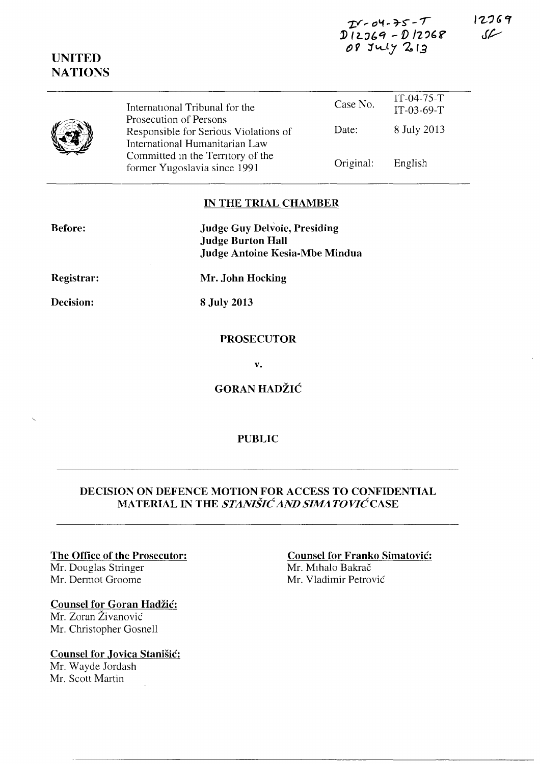$IY-04-75-T$  $D12769 - D12768$ 08 July 213

 $\frac{1}{2}$ 

12769 سمكى

|  | International Tribunal for the<br>Prosecution of Persons                | Case No.  | $11 - 04 - 75 - 1$<br>$IT-03-69-T$ |  |
|--|-------------------------------------------------------------------------|-----------|------------------------------------|--|
|  | Responsible for Serious Violations of<br>International Humanitarian Law | Date:     | 8 July 2013                        |  |
|  | Committed in the Territory of the<br>former Yugoslavia since 1991       | Original: | English                            |  |

# IN THE TRIAL CHAMBER

Before:

**UNITED NATIONS** 

> **Judge Guy Delvoie, Presiding Judge Burton Hall Judge Antoine Kesia-Mbe Mindua**

Registrar:

Decision:

Mr. John Hocking

8 July 2013

# **PROSECUTOR**

 $\mathbf{v}$ .

**GORAN HADŽIĆ** 

#### **PUBLIC**

# DECISION ON DEFENCE MOTION FOR ACCESS TO CONFIDENTIAL MATERIAL IN THE STANIŠIĆ AND SIMATOVIĆ CASE

#### The Office of the Prosecutor:

Mr. Douglas Stringer Mr. Dermot Groome

# **Counsel for Goran Hadžić:**

Mr. Zoran Živanović Mr. Christopher Gosnell

# **Counsel for Jovica Stanišić:**

Mr. Wayde Jordash Mr. Scott Martin

# **Counsel for Franko Simatović:** Mr. Mihalo Bakrač Mr. Vladimir Petrović